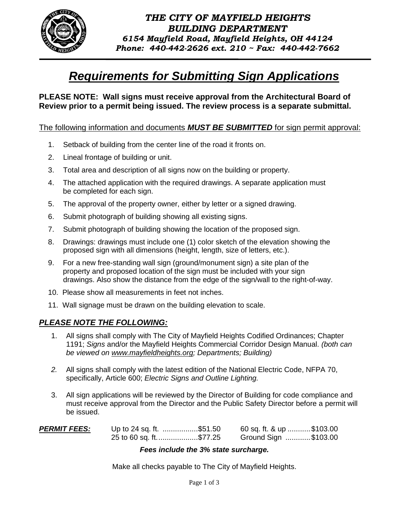

# *Requirements for Submitting Sign Applications*

**PLEASE NOTE: Wall signs must receive approval from the Architectural Board of Review prior to a permit being issued. The review process is a separate submittal.** 

### The following information and documents *MUST BE SUBMITTED* for sign permit approval:

- 1. Setback of building from the center line of the road it fronts on.
- 2. Lineal frontage of building or unit.
- 3. Total area and description of all signs now on the building or property.
- 4. The attached application with the required drawings. A separate application must be completed for each sign.
- 5. The approval of the property owner, either by letter or a signed drawing.
- 6. Submit photograph of building showing all existing signs.
- 7. Submit photograph of building showing the location of the proposed sign.
- 8. Drawings: drawings must include one (1) color sketch of the elevation showing the proposed sign with all dimensions (height, length, size of letters, etc.).
- 9. For a new free-standing wall sign (ground/monument sign) a site plan of the property and proposed location of the sign must be included with your sign drawings. Also show the distance from the edge of the sign/wall to the right-of-way.
- 10. Please show all measurements in feet not inches.
- 11. Wall signage must be drawn on the building elevation to scale.

## *PLEASE NOTE THE FOLLOWING:*

- 1. All signs shall comply with The City of Mayfield Heights Codified Ordinances; Chapter 1191; *Signs* and/or the Mayfield Heights Commercial Corridor Design Manual. *(both can be viewed on [www.mayfieldheights.org;](http://www.mayfieldheights.org/) Departments; Building)*
- *2.* All signs shall comply with the latest edition of the National Electric Code, NFPA 70, specifically, Article 600; *Electric Signs and Outline Lighting.*
- 3. All sign applications will be reviewed by the Director of Building for code compliance and must receive approval from the Director and the Public Safety Director before a permit will be issued.

| <b>PERMIT FEES:</b> | Up to 24 sq. ft. \$51.50 | 60 sq. ft. & up \$103.00 |  |
|---------------------|--------------------------|--------------------------|--|
|                     | 25 to 60 sq. ft\$77.25   | Ground Sign \$103.00     |  |

#### *Fees include the 3% state surcharge.*

Make all checks payable to The City of Mayfield Heights.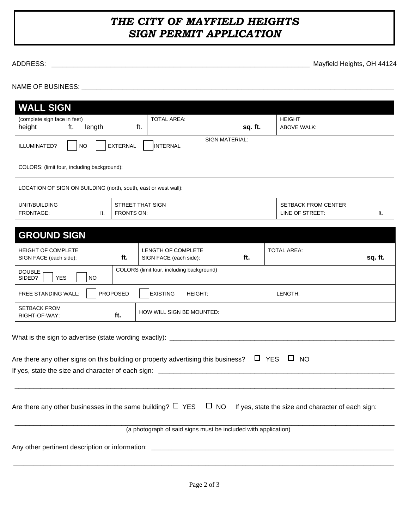# *THE CITY OF MAYFIELD HEIGHTS SIGN PERMIT APPLICATION*

ADDRESS: \_\_\_\_\_\_\_\_\_\_\_\_\_\_\_\_\_\_\_\_\_\_\_\_\_\_\_\_\_\_\_\_\_\_\_\_\_\_\_\_\_\_\_\_\_\_\_\_\_\_\_\_\_\_\_\_\_\_\_\_\_\_\_\_\_\_\_\_\_\_ Mayfield Heights, OH 44124

NAME OF BUSINESS: \_\_\_\_\_\_\_\_\_\_\_\_\_\_\_\_\_\_\_\_\_\_\_\_\_\_\_\_\_\_\_\_\_\_\_\_\_\_\_\_\_\_\_\_\_\_\_\_\_\_\_\_\_\_\_\_\_\_\_\_\_\_\_\_\_\_\_\_\_\_\_\_\_\_\_\_\_\_\_\_\_\_\_\_

| <b>WALL SIGN</b>                                                |                           |                       |                                               |     |
|-----------------------------------------------------------------|---------------------------|-----------------------|-----------------------------------------------|-----|
| (complete sign face in feet)<br>height<br>ft.<br>length         | <b>TOTAL AREA:</b><br>ft. | sq. ft.               | <b>HEIGHT</b><br><b>ABOVE WALK:</b>           |     |
| ILLUMINATED?<br><b>EXTERNAL</b><br><b>NO</b>                    | <b>INTERNAL</b>           | <b>SIGN MATERIAL:</b> |                                               |     |
| COLORS: (limit four, including background):                     |                           |                       |                                               |     |
| LOCATION OF SIGN ON BUILDING (north, south, east or west wall): |                           |                       |                                               |     |
| UNIT/BUILDING<br>ft.<br>FRONTS ON:<br>FRONTAGE:                 | STREET THAT SIGN          |                       | <b>SETBACK FROM CENTER</b><br>LINE OF STREET: | ft. |

| <b>GROUND SIGN</b>                                  |                 |                                                     |     |                    |         |
|-----------------------------------------------------|-----------------|-----------------------------------------------------|-----|--------------------|---------|
| <b>HEIGHT OF COMPLETE</b><br>SIGN FACE (each side): | ft.             | <b>LENGTH OF COMPLETE</b><br>SIGN FACE (each side): | ft. | <b>TOTAL AREA:</b> | sq. ft. |
| <b>DOUBLE</b><br><b>YES</b><br><b>NO</b><br>SIDED?  |                 | COLORS (limit four, including background)           |     |                    |         |
| <b>FREE STANDING WALL:</b>                          | <b>PROPOSED</b> | <b>EXISTING</b><br>HEIGHT:                          |     | LENGTH:            |         |
| <b>SETBACK FROM</b><br>RIGHT-OF-WAY:                | ft.             | <b>HOW WILL SIGN BE MOUNTED:</b>                    |     |                    |         |

| Are there any other signs on this building or property advertising this business? $\Box$ YES $\Box$ NO                       |
|------------------------------------------------------------------------------------------------------------------------------|
|                                                                                                                              |
| Are there any other businesses in the same building? $\Box$ YES $\Box$ NO If yes, state the size and character of each sign: |
| (a photograph of said signs must be included with application)                                                               |
|                                                                                                                              |
|                                                                                                                              |